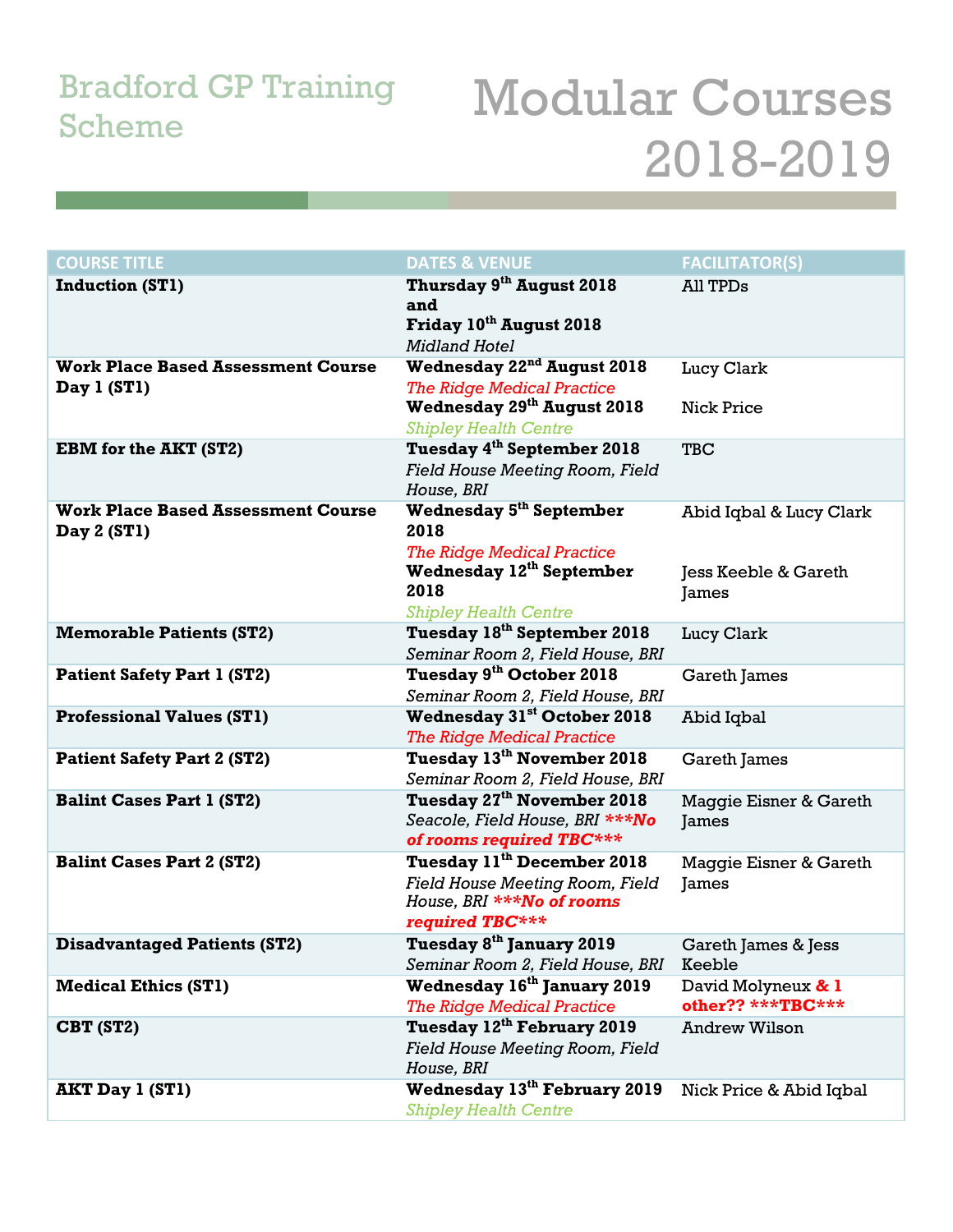## Bradford GP Training

## Bradford GP Training Modular Courses 2018-2019

| <b>COURSE TITLE</b>                                      | <b>DATES &amp; VENUE</b>                                                                                                                                               | <b>FACILITATOR(S)</b>                                    |
|----------------------------------------------------------|------------------------------------------------------------------------------------------------------------------------------------------------------------------------|----------------------------------------------------------|
| <b>Induction (ST1)</b>                                   | Thursday 9 <sup>th</sup> August 2018<br>and<br>Friday 10th August 2018<br><b>Midland Hotel</b>                                                                         | All TPDs                                                 |
| <b>Work Place Based Assessment Course</b><br>Day 1 (ST1) | Wednesday 22 <sup>nd</sup> August 2018<br><b>The Ridge Medical Practice</b><br><b>Wednesday 29th August 2018</b>                                                       | Lucy Clark<br><b>Nick Price</b>                          |
|                                                          | <b>Shipley Health Centre</b>                                                                                                                                           |                                                          |
| <b>EBM</b> for the AKT (ST2)                             | Tuesday 4 <sup>th</sup> September 2018<br><b>Field House Meeting Room, Field</b><br>House, BRI                                                                         | <b>TBC</b>                                               |
| <b>Work Place Based Assessment Course</b><br>Day 2 (ST1) | <b>Wednesday 5<sup>th</sup> September</b><br>2018<br><b>The Ridge Medical Practice</b><br>Wednesday 12 <sup>th</sup> September<br>2018<br><b>Shipley Health Centre</b> | Abid Iqbal & Lucy Clark<br>Jess Keeble & Gareth<br>James |
| <b>Memorable Patients (ST2)</b>                          | Tuesday 18 <sup>th</sup> September 2018<br>Seminar Room 2, Field House, BRI                                                                                            | Lucy Clark                                               |
| <b>Patient Safety Part 1 (ST2)</b>                       | Tuesday 9 <sup>th</sup> October 2018<br>Seminar Room 2, Field House, BRI                                                                                               | Gareth James                                             |
| <b>Professional Values (ST1)</b>                         | <b>Wednesday 31st October 2018</b><br><b>The Ridge Medical Practice</b>                                                                                                | Abid Iqbal                                               |
| <b>Patient Safety Part 2 (ST2)</b>                       | Tuesday 13 <sup>th</sup> November 2018<br>Seminar Room 2, Field House, BRI                                                                                             | Gareth James                                             |
| <b>Balint Cases Part 1 (ST2)</b>                         | Tuesday 27 <sup>th</sup> November 2018<br>Seacole, Field House, BRI ***No<br>of rooms required TBC***                                                                  | Maggie Eisner & Gareth<br>James                          |
| <b>Balint Cases Part 2 (ST2)</b>                         | Tuesday 11 <sup>th</sup> December 2018<br><b>Field House Meeting Room, Field</b><br>House, BRI ***No of rooms<br>required TBC***                                       | Maggie Eisner & Gareth<br>James                          |
| <b>Disadvantaged Patients (ST2)</b>                      | Tuesday 8 <sup>th</sup> January 2019<br>Seminar Room 2, Field House, BRI                                                                                               | Gareth James & Jess<br>Keeble                            |
| <b>Medical Ethics (ST1)</b>                              | Wednesday 16 <sup>th</sup> January 2019<br><b>The Ridge Medical Practice</b>                                                                                           | David Molyneux & 1<br>other?? ***TBC***                  |
| CBT (ST2)                                                | Tuesday 12 <sup>th</sup> February 2019<br><b>Field House Meeting Room, Field</b><br>House, BRI                                                                         | <b>Andrew Wilson</b>                                     |
| <b>AKT Day 1 (ST1)</b>                                   | Wednesday 13th February 2019<br><b>Shipley Health Centre</b>                                                                                                           | Nick Price & Abid Iqbal                                  |